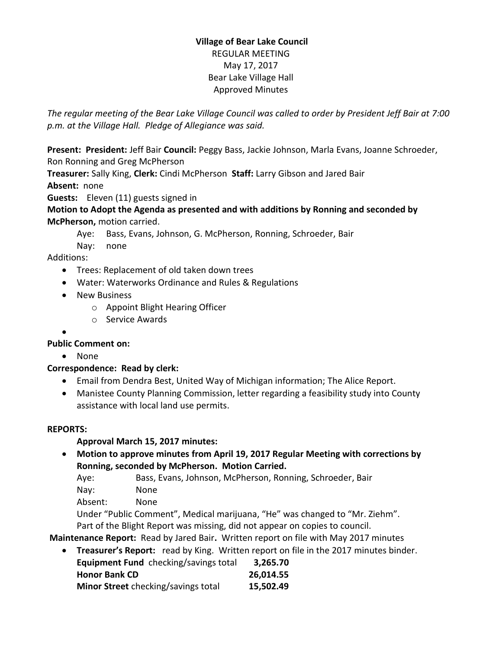## **Village of Bear Lake Council** REGULAR MEETING May 17, 2017 Bear Lake Village Hall Approved Minutes

*The regular meeting of the Bear Lake Village Council was called to order by President Jeff Bair at 7:00 p.m. at the Village Hall. Pledge of Allegiance was said.*

**Present: President:** Jeff Bair **Council:** Peggy Bass, Jackie Johnson, Marla Evans, Joanne Schroeder, Ron Ronning and Greg McPherson

**Treasurer:** Sally King, **Clerk:** Cindi McPherson **Staff:** Larry Gibson and Jared Bair **Absent:** none

**Guests:** Eleven (11) guests signed in

**Motion to Adopt the Agenda as presented and with additions by Ronning and seconded by McPherson,** motion carried.

Aye: Bass, Evans, Johnson, G. McPherson, Ronning, Schroeder, Bair

Nay: none

Additions:

- Trees: Replacement of old taken down trees
- Water: Waterworks Ordinance and Rules & Regulations
- New Business
	- o Appoint Blight Hearing Officer
	- o Service Awards
- $\bullet$

# **Public Comment on:**

• None

# **Correspondence: Read by clerk:**

- Email from Dendra Best, United Way of Michigan information; The Alice Report.
- Manistee County Planning Commission, letter regarding a feasibility study into County assistance with local land use permits.

## **REPORTS:**

# **Approval March 15, 2017 minutes:**

 **Motion to approve minutes from April 19, 2017 Regular Meeting with corrections by Ronning, seconded by McPherson. Motion Carried.**

Aye: Bass, Evans, Johnson, McPherson, Ronning, Schroeder, Bair

Nay: None

Absent: None

Under "Public Comment", Medical marijuana, "He" was changed to "Mr. Ziehm". Part of the Blight Report was missing, did not appear on copies to council.

**Maintenance Report:** Read by Jared Bair**.** Written report on file with May 2017 minutes

**Treasurer's Report:** read by King. Written report on file in the 2017 minutes binder.

| Equipment Fund checking/savings total | 3,265.70  |
|---------------------------------------|-----------|
| <b>Honor Bank CD</b>                  | 26,014.55 |
| Minor Street checking/savings total   | 15,502.49 |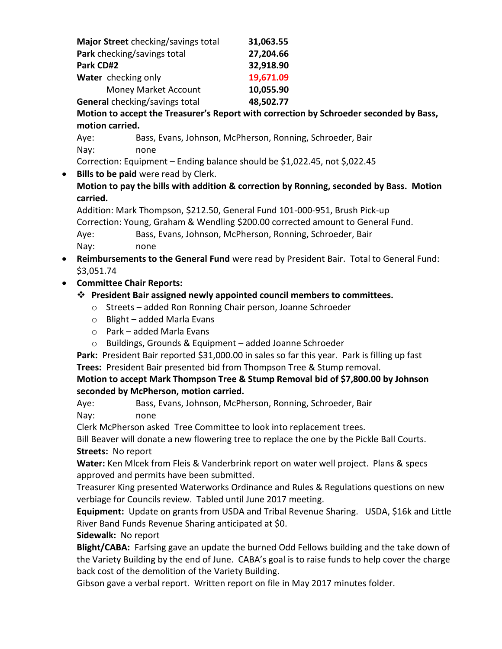| Major Street checking/savings total | 31,063.55 |
|-------------------------------------|-----------|
| Park checking/savings total         | 27,204.66 |
| Park CD#2                           | 32,918.90 |
| Water checking only                 | 19,671.09 |
| <b>Money Market Account</b>         | 10,055.90 |
| General checking/savings total      | 48,502.77 |

**Motion to accept the Treasurer's Report with correction by Schroeder seconded by Bass, motion carried.**

Aye: Bass, Evans, Johnson, McPherson, Ronning, Schroeder, Bair Nay: none

Correction: Equipment – Ending balance should be \$1,022.45, not \$,022.45

**Bills to be paid** were read by Clerk.

**Motion to pay the bills with addition & correction by Ronning, seconded by Bass. Motion carried.**

Addition: Mark Thompson, \$212.50, General Fund 101-000-951, Brush Pick-up Correction: Young, Graham & Wendling \$200.00 corrected amount to General Fund. Aye: Bass, Evans, Johnson, McPherson, Ronning, Schroeder, Bair Nay: none

 **Reimbursements to the General Fund** were read by President Bair. Total to General Fund: \$3,051.74

# **Committee Chair Reports:**

- **President Bair assigned newly appointed council members to committees.**
	- o Streets added Ron Ronning Chair person, Joanne Schroeder
	- o Blight added Marla Evans
	- $\circ$  Park added Marla Fyans
	- o Buildings, Grounds & Equipment added Joanne Schroeder

Park: President Bair reported \$31,000.00 in sales so far this year. Park is filling up fast **Trees:** President Bair presented bid from Thompson Tree & Stump removal.

**Motion to accept Mark Thompson Tree & Stump Removal bid of \$7,800.00 by Johnson seconded by McPherson, motion carried.**

Aye: Bass, Evans, Johnson, McPherson, Ronning, Schroeder, Bair Nay: none

Clerk McPherson asked Tree Committee to look into replacement trees.

Bill Beaver will donate a new flowering tree to replace the one by the Pickle Ball Courts. **Streets:** No report

**Water:** Ken Mlcek from Fleis & Vanderbrink report on water well project. Plans & specs approved and permits have been submitted.

Treasurer King presented Waterworks Ordinance and Rules & Regulations questions on new verbiage for Councils review. Tabled until June 2017 meeting.

**Equipment:** Update on grants from USDA and Tribal Revenue Sharing. USDA, \$16k and Little River Band Funds Revenue Sharing anticipated at \$0.

**Sidewalk:** No report

**Blight/CABA:** Farfsing gave an update the burned Odd Fellows building and the take down of the Variety Building by the end of June. CABA's goal is to raise funds to help cover the charge back cost of the demolition of the Variety Building.

Gibson gave a verbal report. Written report on file in May 2017 minutes folder.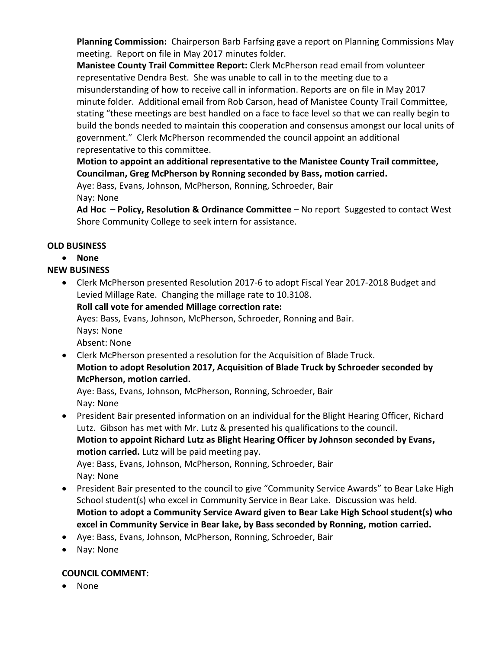**Planning Commission:** Chairperson Barb Farfsing gave a report on Planning Commissions May meeting. Report on file in May 2017 minutes folder.

**Manistee County Trail Committee Report:** Clerk McPherson read email from volunteer representative Dendra Best. She was unable to call in to the meeting due to a misunderstanding of how to receive call in information. Reports are on file in May 2017 minute folder. Additional email from Rob Carson, head of Manistee County Trail Committee, stating "these meetings are best handled on a face to face level so that we can really begin to build the bonds needed to maintain this cooperation and consensus amongst our local units of government." Clerk McPherson recommended the council appoint an additional representative to this committee.

## **Motion to appoint an additional representative to the Manistee County Trail committee, Councilman, Greg McPherson by Ronning seconded by Bass, motion carried.**

Aye: Bass, Evans, Johnson, McPherson, Ronning, Schroeder, Bair Nay: None

**Ad Hoc – Policy, Resolution & Ordinance Committee** – No report Suggested to contact West Shore Community College to seek intern for assistance.

# **OLD BUSINESS**

## **None**

# **NEW BUSINESS**

- Clerk McPherson presented Resolution 2017-6 to adopt Fiscal Year 2017-2018 Budget and Levied Millage Rate. Changing the millage rate to 10.3108. **Roll call vote for amended Millage correction rate:**  Ayes: Bass, Evans, Johnson, McPherson, Schroeder, Ronning and Bair. Nays: None Absent: None
- Clerk McPherson presented a resolution for the Acquisition of Blade Truck. **Motion to adopt Resolution 2017, Acquisition of Blade Truck by Schroeder seconded by McPherson, motion carried.**

Aye: Bass, Evans, Johnson, McPherson, Ronning, Schroeder, Bair Nay: None

 President Bair presented information on an individual for the Blight Hearing Officer, Richard Lutz. Gibson has met with Mr. Lutz & presented his qualifications to the council. **Motion to appoint Richard Lutz as Blight Hearing Officer by Johnson seconded by Evans, motion carried.** Lutz will be paid meeting pay. Aye: Bass, Evans, Johnson, McPherson, Ronning, Schroeder, Bair

Nay: None

- President Bair presented to the council to give "Community Service Awards" to Bear Lake High School student(s) who excel in Community Service in Bear Lake. Discussion was held. **Motion to adopt a Community Service Award given to Bear Lake High School student(s) who excel in Community Service in Bear lake, by Bass seconded by Ronning, motion carried.**
- Aye: Bass, Evans, Johnson, McPherson, Ronning, Schroeder, Bair
- Nay: None

# **COUNCIL COMMENT:**

• None